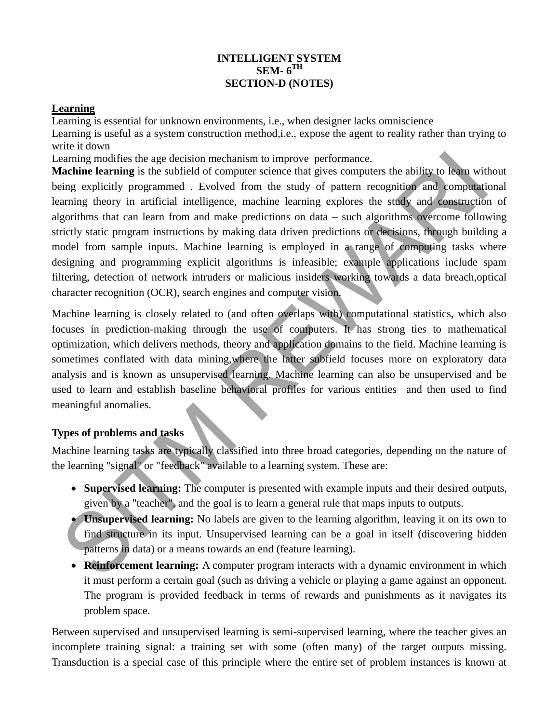#### **INTELLIGENT SYSTEM**  $\mathbf{SEM}$ -  $\mathbf{6}^{\mathrm{TH}}$ **SECTION-D (NOTES)**

#### **Learning**

Learning is essential for unknown environments, i.e., when designer lacks omniscience Learning is useful as a system construction method,i.e., expose the agent to reality rather than trying to write it down

Learning modifies the age decision mechanism to improve performance.

**Machine learning** is the subfield of computer science that gives computers the ability to learn without being explicitly programmed. Evolved from the study of pattern recognition and computational learning theory in artificial intelligence, machine learning explores the study and construction of algorithms that can learn from and make predictions on data – such algorithms overcome following strictly static program instructions by making data driven predictions or decisions, through building a model from sample inputs. Machine learning is employed in a range of computing tasks where designing and programming explicit algorithms is infeasible; example applications include spam filtering, detection of network intruders or malicious insiders working towards a data breach,optical character recognition (OCR), search engines and computer vision.

Machine learning is closely related to (and often overlaps with) computational statistics, which also focuses in prediction-making through the use of computers. It has strong ties to mathematical optimization, which delivers methods, theory and application domains to the field. Machine learning is sometimes conflated with data mining,where the latter subfield focuses more on exploratory data analysis and is known as unsupervised learning. Machine learning can also be unsupervised and be used to learn and establish baseline behavioral profiles for various entities and then used to find meaningful anomalies.

#### **Types of problems and tasks**

Machine learning tasks are typically classified into three broad categories, depending on the nature of the learning "signal" or "feedback" available to a learning system. These are:

- **Supervised learning:** The computer is presented with example inputs and their desired outputs, given by a "teacher", and the goal is to learn a general rule that maps inputs to outputs.
- **Unsupervised learning:** No labels are given to the learning algorithm, leaving it on its own to find structure in its input. Unsupervised learning can be a goal in itself (discovering hidden patterns in data) or a means towards an end (feature learning).
- **Reinforcement learning:** A computer program interacts with a dynamic environment in which it must perform a certain goal (such as driving a vehicle or playing a game against an opponent. The program is provided feedback in terms of rewards and punishments as it navigates its problem space.

Between supervised and unsupervised learning is semi-supervised learning, where the teacher gives an incomplete training signal: a training set with some (often many) of the target outputs missing. Transduction is a special case of this principle where the entire set of problem instances is known at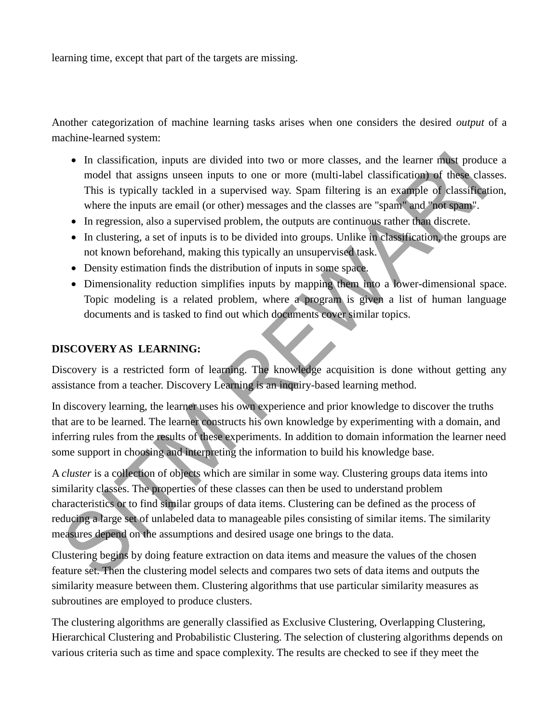learning time, except that part of the targets are missing.

Another categorization of machine learning tasks arises when one considers the desired *output* of a machine-learned system:

- In classification, inputs are divided into two or more classes, and the learner must produce a model that assigns unseen inputs to one or more (multi-label classification) of these classes. This is typically tackled in a supervised way. Spam filtering is an example of classification, where the inputs are email (or other) messages and the classes are "spam" and "not spam".
- In regression, also a supervised problem, the outputs are continuous rather than discrete.
- In clustering, a set of inputs is to be divided into groups. Unlike in classification, the groups are not known beforehand, making this typically an unsupervised task.
- Density estimation finds the distribution of inputs in some space.
- Dimensionality reduction simplifies inputs by mapping them into a lower-dimensional space. Topic modeling is a related problem, where a program is given a list of human language documents and is tasked to find out which documents cover similar topics.

## **DISCOVERY AS LEARNING:**

Discovery is a restricted form of learning. The knowledge acquisition is done without getting any assistance from a teacher. Discovery Learning is an inquiry-based learning method.

In discovery learning, the learner uses his own experience and prior knowledge to discover the truths that are to be learned. The learner constructs his own knowledge by experimenting with a domain, and inferring rules from the results of these experiments. In addition to domain information the learner need some support in choosing and interpreting the information to build his knowledge base.

A *cluster* is a collection of objects which are similar in some way. Clustering groups data items into similarity classes. The properties of these classes can then be used to understand problem characteristics or to find similar groups of data items. Clustering can be defined as the process of reducing a large set of unlabeled data to manageable piles consisting of similar items. The similarity measures depend on the assumptions and desired usage one brings to the data.

Clustering begins by doing feature extraction on data items and measure the values of the chosen feature set. Then the clustering model selects and compares two sets of data items and outputs the similarity measure between them. Clustering algorithms that use particular similarity measures as subroutines are employed to produce clusters.

The clustering algorithms are generally classified as Exclusive Clustering, Overlapping Clustering, Hierarchical Clustering and Probabilistic Clustering. The selection of clustering algorithms depends on various criteria such as time and space complexity. The results are checked to see if they meet the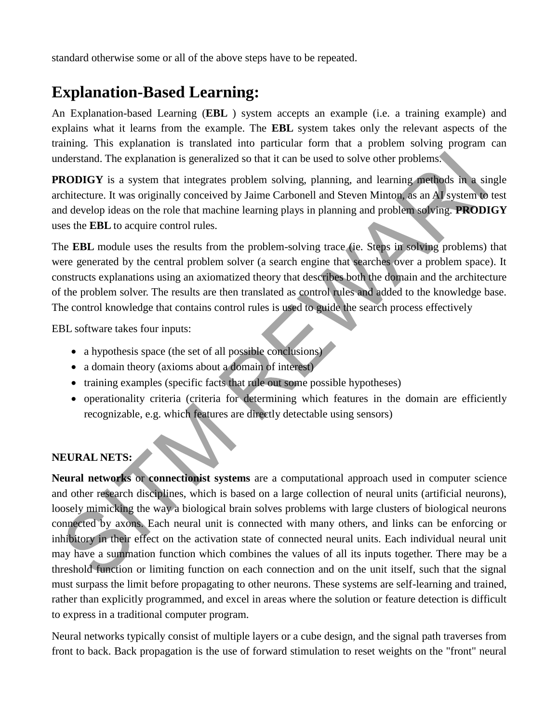standard otherwise some or all of the above steps have to be repeated.

# **Explanation-Based Learning:**

An Explanation-based Learning (**EBL** ) system accepts an example (i.e. a training example) and explains what it learns from the example. The **EBL** system takes only the relevant aspects of the training. This explanation is translated into particular form that a problem solving program can understand. The explanation is generalized so that it can be used to solve other problems.

**PRODIGY** is a system that integrates problem solving, planning, and learning methods in a single architecture. It was originally conceived by Jaime Carbonell and Steven Minton, as an AI system to test and develop ideas on the role that machine learning plays in planning and problem solving. **PRODIGY**  uses the **EBL** to acquire control rules.

The **EBL** module uses the results from the problem-solving trace (ie. Steps in solving problems) that were generated by the central problem solver (a search engine that searches over a problem space). It constructs explanations using an axiomatized theory that describes both the domain and the architecture of the problem solver. The results are then translated as control rules and added to the knowledge base. The control knowledge that contains control rules is used to guide the search process effectively

EBL software takes four inputs:

- a hypothesis space (the set of all possible conclusions)
- a domain theory (axioms about a domain of interest)
- training examples (specific facts that rule out some possible hypotheses)
- operationality criteria (criteria for determining which features in the domain are efficiently recognizable, e.g. which features are directly detectable using sensors)

#### **NEURAL NETS:**

**Neural networks** or **connectionist systems** are a computational approach used in computer science and other research disciplines, which is based on a large collection of neural units (artificial neurons), loosely mimicking the way a biological brain solves problems with large clusters of biological neurons connected by axons. Each neural unit is connected with many others, and links can be enforcing or inhibitory in their effect on the activation state of connected neural units. Each individual neural unit may have a summation function which combines the values of all its inputs together. There may be a threshold function or limiting function on each connection and on the unit itself, such that the signal must surpass the limit before propagating to other neurons. These systems are self-learning and trained, rather than explicitly programmed, and excel in areas where the solution or feature detection is difficult to express in a traditional computer program.

Neural networks typically consist of multiple layers or a cube design, and the signal path traverses from front to back. Back propagation is the use of forward stimulation to reset weights on the "front" neural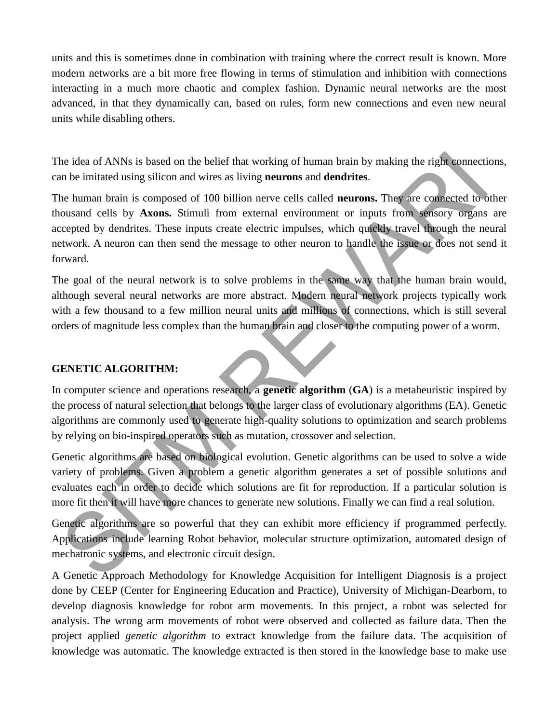units and this is sometimes done in combination with training where the correct result is known. More modern networks are a bit more free flowing in terms of stimulation and inhibition with connections interacting in a much more chaotic and complex fashion. Dynamic neural networks are the most advanced, in that they dynamically can, based on rules, form new connections and even new neural units while disabling others.

The idea of ANNs is based on the belief that working of human brain by making the right connections, can be imitated using silicon and wires as living **neurons** and **dendrites**.

The human brain is composed of 100 billion nerve cells called **neurons.** They are connected to other thousand cells by **Axons.** Stimuli from external environment or inputs from sensory organs are accepted by dendrites. These inputs create electric impulses, which quickly travel through the neural network. A neuron can then send the message to other neuron to handle the issue or does not send it forward.

The goal of the neural network is to solve problems in the same way that the human brain would, although several neural networks are more abstract. Modern neural network projects typically work with a few thousand to a few million neural units and millions of connections, which is still several orders of magnitude less complex than the human brain and closer to the computing power of a worm.

#### **GENETIC ALGORITHM:**

In computer science and operations research, a **genetic algorithm** (**GA**) is a metaheuristic inspired by the process of natural selection that belongs to the larger class of evolutionary algorithms (EA). Genetic algorithms are commonly used to generate high-quality solutions to optimization and search problems by relying on bio-inspired operators such as mutation, crossover and selection.

Genetic algorithms are based on biological evolution. Genetic algorithms can be used to solve a wide variety of problems. Given a problem a genetic algorithm generates a set of possible solutions and evaluates each in order to decide which solutions are fit for reproduction. If a particular solution is more fit then it will have more chances to generate new solutions. Finally we can find a real solution.

Genetic algorithms are so powerful that they can exhibit more efficiency if programmed perfectly. Applications include learning Robot behavior, molecular structure optimization, automated design of mechatronic systems, and electronic circuit design.

A Genetic Approach Methodology for Knowledge Acquisition for Intelligent Diagnosis is a project done by CEEP (Center for Engineering Education and Practice), University of Michigan-Dearborn, to develop diagnosis knowledge for robot arm movements. In this project, a robot was selected for analysis. The wrong arm movements of robot were observed and collected as failure data. Then the project applied *genetic algorithm* to extract knowledge from the failure data. The acquisition of knowledge was automatic. The knowledge extracted is then stored in the knowledge base to make use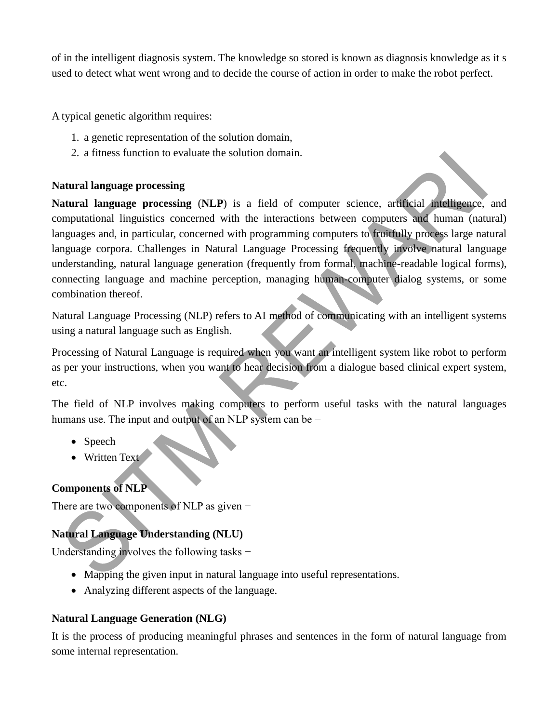of in the intelligent diagnosis system. The knowledge so stored is known as diagnosis knowledge as it s used to detect what went wrong and to decide the course of action in order to make the robot perfect.

A typical genetic algorithm requires:

- 1. a genetic representation of the solution domain,
- 2. a fitness function to evaluate the solution domain.

## **Natural language processing**

**Natural language processing** (**NLP**) is a field of computer science, artificial intelligence, and computational linguistics concerned with the interactions between computers and human (natural) languages and, in particular, concerned with programming computers to fruitfully process large natural language corpora. Challenges in Natural Language Processing frequently involve natural language understanding, natural language generation (frequently from formal, machine-readable logical forms), connecting language and machine perception, managing human-computer dialog systems, or some combination thereof.

Natural Language Processing (NLP) refers to AI method of communicating with an intelligent systems using a natural language such as English.

Processing of Natural Language is required when you want an intelligent system like robot to perform as per your instructions, when you want to hear decision from a dialogue based clinical expert system, etc.

The field of NLP involves making computers to perform useful tasks with the natural languages humans use. The input and output of an NLP system can be −

- Speech
- Written Text

# **Components of NLP**

There are two components of NLP as given –

# **Natural Language Understanding (NLU)**

Understanding involves the following tasks −

- Mapping the given input in natural language into useful representations.
- Analyzing different aspects of the language.

# **Natural Language Generation (NLG)**

It is the process of producing meaningful phrases and sentences in the form of natural language from some internal representation.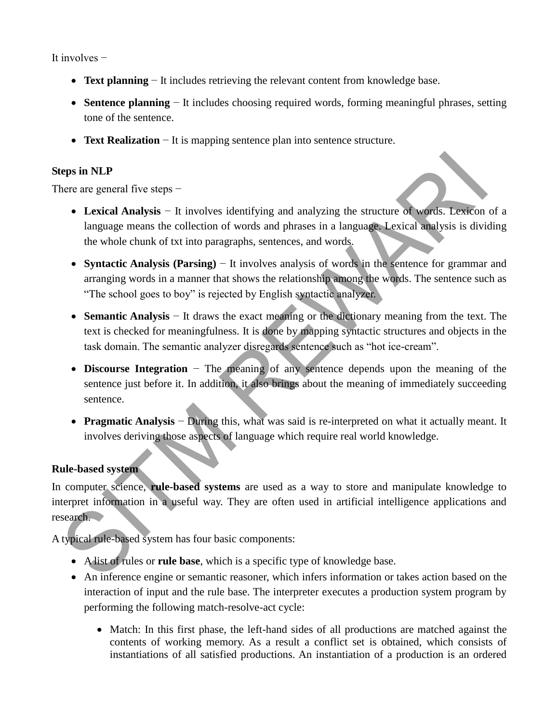It involves −

- **Text planning** − It includes retrieving the relevant content from knowledge base.
- **Sentence planning** − It includes choosing required words, forming meaningful phrases, setting tone of the sentence.
- **Text Realization** − It is mapping sentence plan into sentence structure.

## **Steps in NLP**

There are general five steps –

- **Lexical Analysis** − It involves identifying and analyzing the structure of words. Lexicon of a language means the collection of words and phrases in a language. Lexical analysis is dividing the whole chunk of txt into paragraphs, sentences, and words.
- **Syntactic Analysis (Parsing)** − It involves analysis of words in the sentence for grammar and arranging words in a manner that shows the relationship among the words. The sentence such as "The school goes to boy" is rejected by English syntactic analyzer.
- **Semantic Analysis** − It draws the exact meaning or the dictionary meaning from the text. The text is checked for meaningfulness. It is done by mapping syntactic structures and objects in the task domain. The semantic analyzer disregards sentence such as "hot ice-cream".
- **Discourse Integration** − The meaning of any sentence depends upon the meaning of the sentence just before it. In addition, it also brings about the meaning of immediately succeeding sentence.
- **Pragmatic Analysis** − During this, what was said is re-interpreted on what it actually meant. It involves deriving those aspects of language which require real world knowledge.

#### **Rule-based system**

In computer science, **rule-based systems** are used as a way to store and manipulate knowledge to interpret information in a useful way. They are often used in artificial intelligence applications and research.

A typical rule-based system has four basic components:

- A list of rules or **rule base**, which is a specific type of knowledge base.
- An inference engine or semantic reasoner, which infers information or takes action based on the interaction of input and the rule base. The interpreter executes a production system program by performing the following match-resolve-act cycle:
	- Match: In this first phase, the left-hand sides of all productions are matched against the contents of working memory. As a result a conflict set is obtained, which consists of instantiations of all satisfied productions. An instantiation of a production is an ordered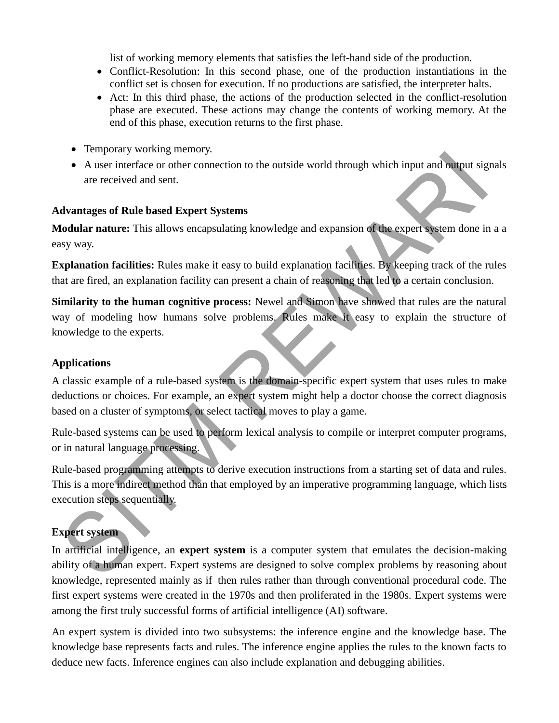list of working memory elements that satisfies the left-hand side of the production.

- Conflict-Resolution: In this second phase, one of the production instantiations in the conflict set is chosen for execution. If no productions are satisfied, the interpreter halts.
- Act: In this third phase, the actions of the production selected in the conflict-resolution phase are executed. These actions may change the contents of working memory. At the end of this phase, execution returns to the first phase.
- Temporary working memory.
- A user interface or other connection to the outside world through which input and output signals are received and sent.

## **Advantages of Rule based Expert Systems**

**Modular nature:** This allows encapsulating knowledge and expansion of the expert system done in a a easy way.

**Explanation facilities:** Rules make it easy to build explanation facilities. By keeping track of the rules that are fired, an explanation facility can present a chain of reasoning that led to a certain conclusion.

**Similarity to the human cognitive process:** Newel and Simon have showed that rules are the natural way of modeling how humans solve problems. Rules make it easy to explain the structure of knowledge to the experts.

#### **Applications**

A classic example of a rule-based system is the domain-specific expert system that uses rules to make deductions or choices. For example, an expert system might help a doctor choose the correct diagnosis based on a cluster of symptoms, or select tactical moves to play a game.

Rule-based systems can be used to perform lexical analysis to compile or interpret computer programs, or in natural language processing.

Rule-based programming attempts to derive execution instructions from a starting set of data and rules. This is a more indirect method than that employed by an imperative programming language, which lists execution steps sequentially.

# **Expert system**

In artificial intelligence, an **expert system** is a computer system that emulates the decision-making ability of a human expert. Expert systems are designed to solve complex problems by reasoning about knowledge, represented mainly as if–then rules rather than through conventional procedural code. The first expert systems were created in the 1970s and then proliferated in the 1980s. Expert systems were among the first truly successful forms of artificial intelligence (AI) software.

An expert system is divided into two subsystems: the inference engine and the knowledge base. The knowledge base represents facts and rules. The inference engine applies the rules to the known facts to deduce new facts. Inference engines can also include explanation and debugging abilities.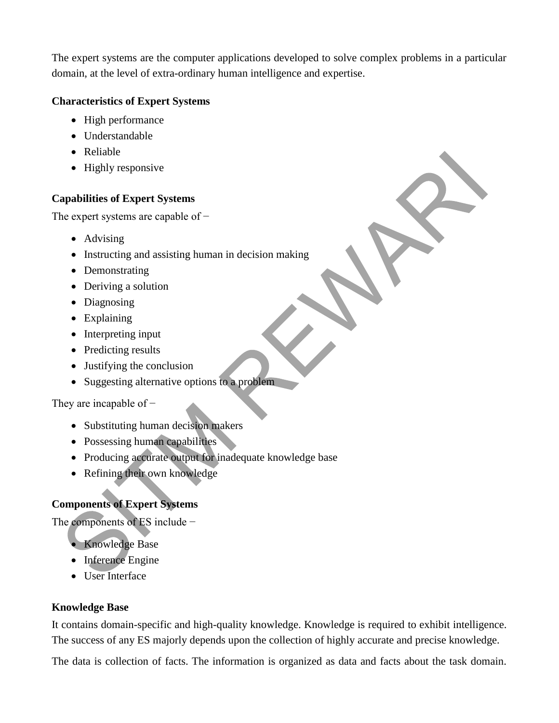The expert systems are the computer applications developed to solve complex problems in a particular domain, at the level of extra-ordinary human intelligence and expertise.

#### **Characteristics of Expert Systems**

- High performance
- Understandable
- Reliable
- Highly responsive

# **Capabilities of Expert Systems**

The expert systems are capable of −

- Advising
- Instructing and assisting human in decision making
- Demonstrating
- Deriving a solution
- Diagnosing
- Explaining
- Interpreting input
- Predicting results
- Justifying the conclusion
- Suggesting alternative options to a problem

They are incapable of –

- Substituting human decision makers
- Possessing human capabilities
- Producing accurate output for inadequate knowledge base
- Refining their own knowledge

# **Components of Expert Systems**

The components of ES include −

- **Knowledge Base**
- Inference Engine
- User Interface

# **Knowledge Base**

It contains domain-specific and high-quality knowledge. Knowledge is required to exhibit intelligence. The success of any ES majorly depends upon the collection of highly accurate and precise knowledge.

The data is collection of facts. The information is organized as data and facts about the task domain.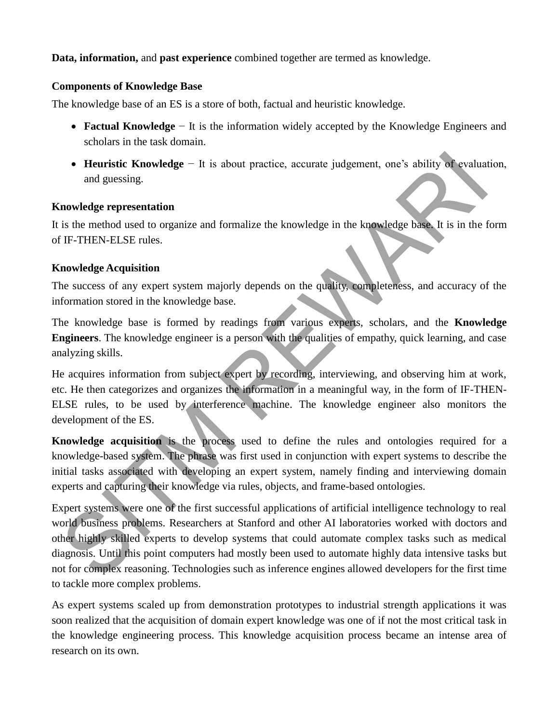#### **Data, information,** and **past experience** combined together are termed as knowledge.

#### **Components of Knowledge Base**

The knowledge base of an ES is a store of both, factual and heuristic knowledge.

- **Factual Knowledge** − It is the information widely accepted by the Knowledge Engineers and scholars in the task domain.
- **Heuristic Knowledge** − It is about practice, accurate judgement, one's ability of evaluation, and guessing.

#### **Knowledge representation**

It is the method used to organize and formalize the knowledge in the knowledge base. It is in the form of IF-THEN-ELSE rules.

#### **Knowledge Acquisition**

The success of any expert system majorly depends on the quality, completeness, and accuracy of the information stored in the knowledge base.

The knowledge base is formed by readings from various experts, scholars, and the **Knowledge Engineers**. The knowledge engineer is a person with the qualities of empathy, quick learning, and case analyzing skills.

He acquires information from subject expert by recording, interviewing, and observing him at work, etc. He then categorizes and organizes the information in a meaningful way, in the form of IF-THEN-ELSE rules, to be used by interference machine. The knowledge engineer also monitors the development of the ES.

**Knowledge acquisition** is the process used to define the rules and ontologies required for a knowledge-based system. The phrase was first used in conjunction with expert systems to describe the initial tasks associated with developing an expert system, namely finding and interviewing domain experts and capturing their knowledge via rules, objects, and frame-based ontologies.

Expert systems were one of the first successful applications of artificial intelligence technology to real world business problems. Researchers at Stanford and other AI laboratories worked with doctors and other highly skilled experts to develop systems that could automate complex tasks such as medical diagnosis. Until this point computers had mostly been used to automate highly data intensive tasks but not for complex reasoning. Technologies such as inference engines allowed developers for the first time to tackle more complex problems.

As expert systems scaled up from demonstration prototypes to industrial strength applications it was soon realized that the acquisition of domain expert knowledge was one of if not the most critical task in the knowledge engineering process. This knowledge acquisition process became an intense area of research on its own.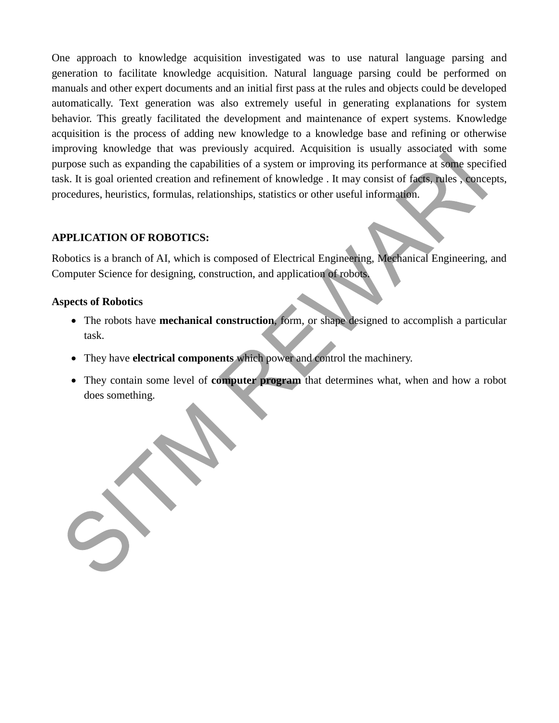One approach to knowledge acquisition investigated was to use natural language parsing and generation to facilitate knowledge acquisition. Natural language parsing could be performed on manuals and other expert documents and an initial first pass at the rules and objects could be developed automatically. Text generation was also extremely useful in generating explanations for system behavior. This greatly facilitated the development and maintenance of expert systems. Knowledge acquisition is the process of adding new knowledge to a knowledge base and refining or otherwise improving knowledge that was previously acquired. Acquisition is usually associated with some purpose such as expanding the capabilities of a system or improving its performance at some specified task. It is goal oriented creation and refinement of knowledge . It may consist of facts, rules , concepts, procedures, heuristics, formulas, relationships, statistics or other useful information.

#### **APPLICATION OF ROBOTICS:**

Robotics is a branch of AI, which is composed of Electrical Engineering, Mechanical Engineering, and Computer Science for designing, construction, and application of robots.

#### **Aspects of Robotics**

- The robots have **mechanical construction**, form, or shape designed to accomplish a particular task.
- They have **electrical components** which power and control the machinery.
- They contain some level of **computer program** that determines what, when and how a robot does something.